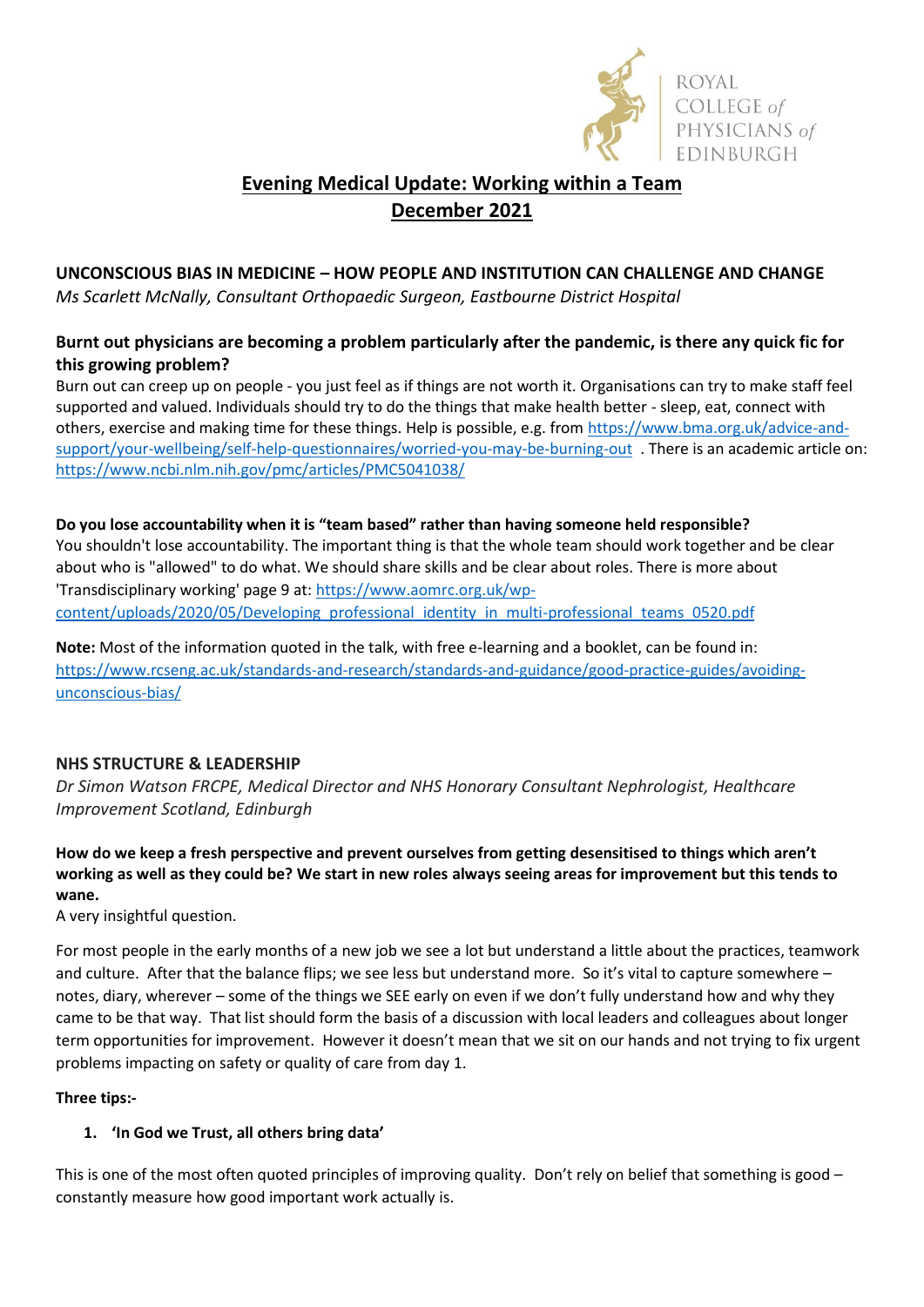

# **Evening Medical Update: Working within a Team December 2021**

## **UNCONSCIOUS BIAS IN MEDICINE – HOW PEOPLE AND INSTITUTION CAN CHALLENGE AND CHANGE**

*Ms Scarlett McNally, Consultant Orthopaedic Surgeon, Eastbourne District Hospital*

## **Burnt out physicians are becoming a problem particularly after the pandemic, is there any quick fic for this growing problem?**

Burn out can creep up on people - you just feel as if things are not worth it. Organisations can try to make staff feel supported and valued. Individuals should try to do the things that make health better - sleep, eat, connect with others, exercise and making time for these things. Help is possible, e.g. fro[m https://www.bma.org.uk/advice-and](https://www.bma.org.uk/advice-and-support/your-wellbeing/self-help-questionnaires/worried-you-may-be-burning-out)[support/your-wellbeing/self-help-questionnaires/worried-you-may-be-burning-out](https://www.bma.org.uk/advice-and-support/your-wellbeing/self-help-questionnaires/worried-you-may-be-burning-out) . There is an academic article on: <https://www.ncbi.nlm.nih.gov/pmc/articles/PMC5041038/>

## **Do you lose accountability when it is "team based" rather than having someone held responsible?** You shouldn't lose accountability. The important thing is that the whole team should work together and be clear about who is "allowed" to do what. We should share skills and be clear about roles. There is more about 'Transdisciplinary working' page 9 at[: https://www.aomrc.org.uk/wp](https://www.aomrc.org.uk/wp-content/uploads/2020/05/Developing_professional_identity_in_multi-professional_teams_0520.pdf)[content/uploads/2020/05/Developing\\_professional\\_identity\\_in\\_multi-professional\\_teams\\_0520.pdf](https://www.aomrc.org.uk/wp-content/uploads/2020/05/Developing_professional_identity_in_multi-professional_teams_0520.pdf)

**Note:** Most of the information quoted in the talk, with free e-learning and a booklet, can be found in: [https://www.rcseng.ac.uk/standards-and-research/standards-and-guidance/good-practice-guides/avoiding](https://www.rcseng.ac.uk/standards-and-research/standards-and-guidance/good-practice-guides/avoiding-unconscious-bias/)[unconscious-bias/](https://www.rcseng.ac.uk/standards-and-research/standards-and-guidance/good-practice-guides/avoiding-unconscious-bias/)

## **NHS STRUCTURE & LEADERSHIP**

*Dr Simon Watson FRCPE, Medical Director and NHS Honorary Consultant Nephrologist, Healthcare Improvement Scotland, Edinburgh*

#### **How do we keep a fresh perspective and prevent ourselves from getting desensitised to things which aren't working as well as they could be? We start in new roles always seeing areas for improvement but this tends to wane.**

A very insightful question.

For most people in the early months of a new job we see a lot but understand a little about the practices, teamwork and culture. After that the balance flips; we see less but understand more. So it's vital to capture somewhere – notes, diary, wherever – some of the things we SEE early on even if we don't fully understand how and why they came to be that way. That list should form the basis of a discussion with local leaders and colleagues about longer term opportunities for improvement. However it doesn't mean that we sit on our hands and not trying to fix urgent problems impacting on safety or quality of care from day 1.

#### **Three tips:-**

#### **1. 'In God we Trust, all others bring data'**

This is one of the most often quoted principles of improving quality. Don't rely on belief that something is good – constantly measure how good important work actually is.